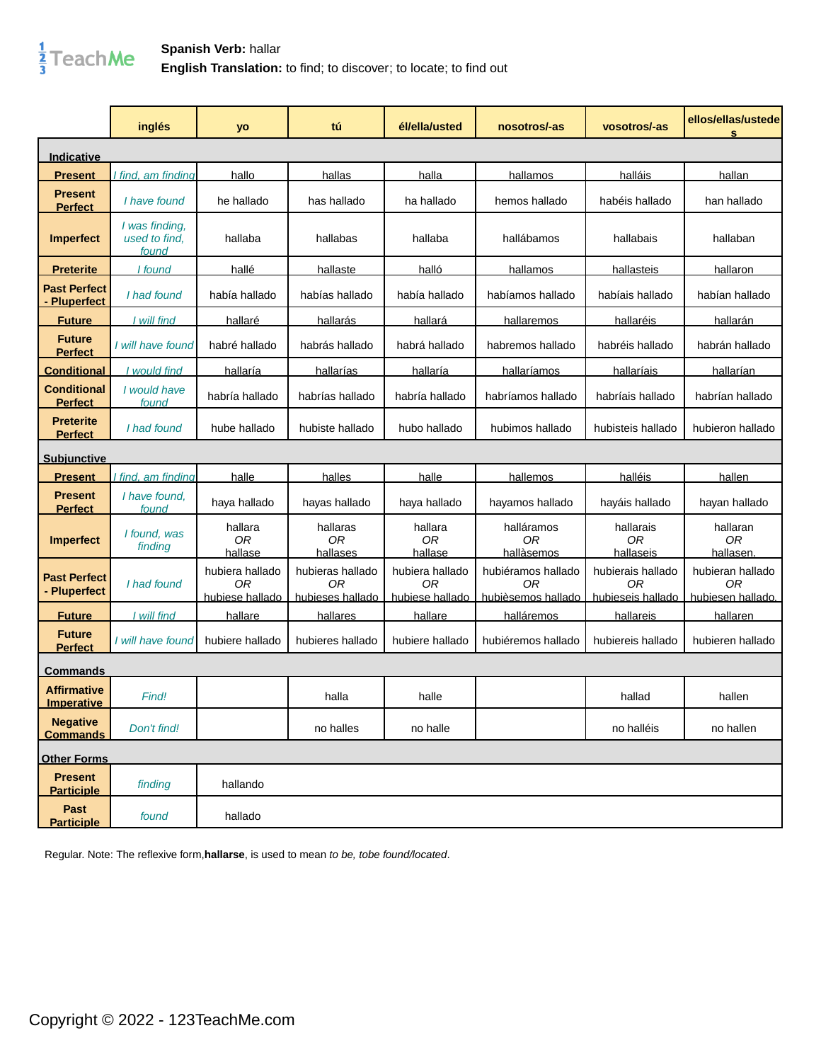

|                                          | inglés                                   | yo                                       | tú                                         | él/ella/usted                            | nosotros/-as                                   | vosotros/-as                                 | ellos/ellas/ustede<br>s                     |
|------------------------------------------|------------------------------------------|------------------------------------------|--------------------------------------------|------------------------------------------|------------------------------------------------|----------------------------------------------|---------------------------------------------|
| Indicative                               |                                          |                                          |                                            |                                          |                                                |                                              |                                             |
| <b>Present</b>                           | I find, am finding                       | hallo                                    | hallas                                     | halla                                    | hallamos                                       | halláis                                      | hallan                                      |
| <b>Present</b><br><b>Perfect</b>         | I have found                             | he hallado                               | has hallado                                | ha hallado                               | hemos hallado                                  | habéis hallado                               | han hallado                                 |
| <b>Imperfect</b>                         | I was finding,<br>used to find,<br>found | hallaba                                  | hallabas                                   | hallaba                                  | hallábamos                                     | hallabais                                    | hallaban                                    |
| <b>Preterite</b>                         | I found                                  | hallé                                    | hallaste                                   | halló                                    | hallamos                                       | <b>hallasteis</b>                            | hallaron                                    |
| <b>Past Perfect</b><br><b>Pluperfect</b> | I had found                              | había hallado                            | habías hallado                             | había hallado                            | habíamos hallado                               | habíais hallado                              | habían hallado                              |
| <b>Future</b>                            | I will find                              | hallaré                                  | hallarás                                   | hallará                                  | hallaremos                                     | hallaréis                                    | hallarán                                    |
| <b>Future</b><br><b>Perfect</b>          | I will have found                        | habré hallado                            | habrás hallado                             | habrá hallado                            | habremos hallado                               | habréis hallado                              | habrán hallado                              |
| <b>Conditional</b>                       | I would find                             | hallaría                                 | hallarías                                  | hallaría                                 | hallaríamos                                    | hallaríais                                   | hallarían                                   |
| <b>Conditional</b><br><b>Perfect</b>     | I would have<br>found                    | habría hallado                           | habrías hallado                            | habría hallado                           | habríamos hallado                              | habríais hallado                             | habrían hallado                             |
| <b>Preterite</b><br><b>Perfect</b>       | I had found                              | hube hallado                             | hubiste hallado                            | hubo hallado                             | hubimos hallado                                | hubisteis hallado                            | hubieron hallado                            |
| <b>Subjunctive</b>                       |                                          |                                          |                                            |                                          |                                                |                                              |                                             |
| <b>Present</b>                           | <u>I find, am finding</u>                | halle                                    | halles                                     | halle                                    | hallemos                                       | halléis                                      | hallen                                      |
| <b>Present</b><br><b>Perfect</b>         | I have found,<br>found                   | haya hallado                             | hayas hallado                              | haya hallado                             | hayamos hallado                                | hayáis hallado                               | hayan hallado                               |
| <b>Imperfect</b>                         | I found, was<br>finding                  | hallara<br>0R<br>hallase                 | hallaras<br>0R<br>hallases                 | hallara<br>0R<br>hallase                 | halláramos<br>0R<br>hallàsemos                 | hallarais<br>0R<br>hallaseis                 | hallaran<br>0R<br>hallasen                  |
| <b>Past Perfect</b><br>- Pluperfect      | I had found                              | hubiera hallado<br>0R<br>hubiese hallado | hubieras hallado<br>0R<br>hubieses hallado | hubiera hallado<br>0R<br>hubiese hallado | hubiéramos hallado<br>ОR<br>hubièsemos hallado | hubierais hallado<br>ОR<br>hubieseis hallado | hubieran hallado<br>0R<br>hubiesen hallado. |
| <b>Future</b>                            | I will find                              | hallare                                  | hallares                                   | hallare                                  | halláremos                                     | hallareis                                    | hallaren                                    |
| <b>Future</b><br><b>Perfect</b>          | I will have found                        | hubiere hallado                          | hubieres hallado                           | hubiere hallado                          | hubiéremos hallado                             | hubiereis hallado                            | hubieren hallado                            |
| Commands                                 |                                          |                                          |                                            |                                          |                                                |                                              |                                             |
| <b>Affirmative</b><br><u>Imperative</u>  | Find!                                    |                                          | halla                                      | halle                                    |                                                | hallad                                       | hallen                                      |
| <b>Negative</b><br><b>Commands</b>       | Don't find!                              |                                          | no halles                                  | no halle                                 |                                                | no halléis                                   | no hallen                                   |
| <b>Other Forms</b>                       |                                          |                                          |                                            |                                          |                                                |                                              |                                             |
| <b>Present</b><br><b>Participle</b>      | finding                                  | hallando                                 |                                            |                                          |                                                |                                              |                                             |
| Past<br><b>Participle</b>                | found                                    | hallado                                  |                                            |                                          |                                                |                                              |                                             |

Regular. Note: The reflexive form,**hallarse**, is used to mean to be, tobe found/located.